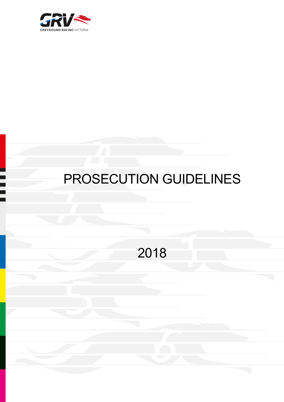

# PROSECUTION GUIDELINES

2018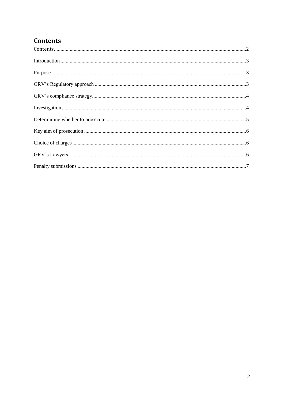#### <span id="page-1-0"></span>**Contents**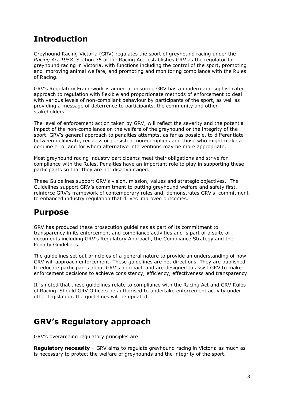# <span id="page-2-0"></span>**Introduction**

Greyhound Racing Victoria (GRV) regulates the sport of greyhound racing under the *Racing Act 1958*. Section 75 of the Racing Act, establishes GRV as the regulator for greyhound racing in Victoria, with functions including the control of the sport, promoting and improving animal welfare, and promoting and monitoring compliance with the Rules of Racing.

GRV's Regulatory Framework is aimed at ensuring GRV has a modern and sophisticated approach to regulation with flexible and proportionate methods of enforcement to deal with various levels of non-compliant behaviour by participants of the sport, as well as providing a message of deterrence to participants, the community and other stakeholders.

The level of enforcement action taken by GRV, will reflect the severity and the potential impact of the non-compliance on the welfare of the greyhound or the integrity of the sport. GRV's general approach to penalties attempts, as far as possible, to differentiate between deliberate, reckless or persistent non-compliers and those who might make a genuine error and for whom alternative interventions may be more appropriate.

Most greyhound racing industry participants meet their obligations and strive for compliance with the Rules. Penalties have an important role to play in supporting these participants so that they are not disadvantaged.

These Guidelines support GRV's vision, mission, values and strategic objectives. The Guidelines support GRV's commitment to putting greyhound welfare and safety first, reinforce GRV's framework of contemporary rules and, demonstrates GRV's commitment to enhanced industry regulation that drives improved outcomes.

# <span id="page-2-1"></span>**Purpose**

GRV has produced these prosecution guidelines as part of its commitment to transparency in its enforcement and compliance activities and is part of a suite of documents including GRV's Regulatory Approach, the Compliance Strategy and the Penalty Guidelines.

The guidelines set out principles of a general nature to provide an understanding of how GRV will approach enforcement. These guidelines are not directions. They are published to educate participants about GRV's approach and are designed to assist GRV to make enforcement decisions to achieve consistency, efficiency, effectiveness and transparency.

It is noted that these guidelines relate to compliance with the Racing Act and GRV Rules of Racing. Should GRV Officers be authorised to undertake enforcement activity under other legislation, the guidelines will be updated.

# <span id="page-2-2"></span>**GRV's Regulatory approach**

GRV's overarching regulatory principles are:

**Regulatory necessity** – GRV aims to regulate greyhound racing in Victoria as much as is necessary to protect the welfare of greyhounds and the integrity of the sport.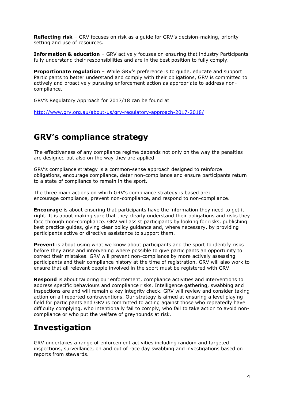**Reflecting risk** – GRV focuses on risk as a guide for GRV's decision-making, priority setting and use of resources.

**Information & education** – GRV actively focuses on ensuring that industry Participants fully understand their responsibilities and are in the best position to fully comply.

**Proportionate regulation** – While GRV's preference is to guide, educate and support Participants to better understand and comply with their obligations, GRV is committed to actively and proactively pursuing enforcement action as appropriate to address noncompliance.

GRV's Regulatory Approach for 2017/18 can be found at

<http://www.grv.org.au/about-us/grv-regulatory-approach-2017-2018/>

#### <span id="page-3-0"></span>**GRV's compliance strategy**

The effectiveness of any compliance regime depends not only on the way the penalties are designed but also on the way they are applied.

GRV's compliance strategy is a common-sense approach designed to reinforce obligations, encourage compliance, deter non-compliance and ensure participants return to a state of compliance to remain in the sport.

The three main actions on which GRV's compliance strategy is based are: encourage compliance, prevent non-compliance, and respond to non-compliance.

**Encourage** is about ensuring that participants have the information they need to get it right. It is about making sure that they clearly understand their obligations and risks they face through non-compliance. GRV will assist participants by looking for risks, publishing best practice guides, giving clear policy guidance and, where necessary, by providing participants active or directive assistance to support them.

**Prevent** is about using what we know about participants and the sport to identify risks before they arise and intervening where possible to give participants an opportunity to correct their mistakes. GRV will prevent non-compliance by more actively assessing participants and their compliance history at the time of registration. GRV will also work to ensure that all relevant people involved in the sport must be registered with GRV.

**Respond** is about tailoring our enforcement, compliance activities and interventions to address specific behaviours and compliance risks. Intelligence gathering, swabbing and inspections are and will remain a key integrity check. GRV will review and consider taking action on all reported contraventions. Our strategy is aimed at ensuring a level playing field for participants and GRV is committed to acting against those who repeatedly have difficulty complying, who intentionally fail to comply, who fail to take action to avoid noncompliance or who put the welfare of greyhounds at risk.

#### <span id="page-3-1"></span>**Investigation**

GRV undertakes a range of enforcement activities including random and targeted inspections, surveillance, on and out of race day swabbing and investigations based on reports from stewards.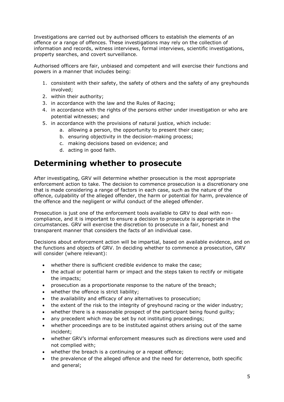Investigations are carried out by authorised officers to establish the elements of an offence or a range of offences. These investigations may rely on the collection of information and records, witness interviews, formal interviews, scientific investigations, property searches, and covert surveillance.

Authorised officers are fair, unbiased and competent and will exercise their functions and powers in a manner that includes being:

- 1. consistent with their safety, the safety of others and the safety of any greyhounds involved;
- 2. within their authority;
- 3. in accordance with the law and the Rules of Racing;
- 4. in accordance with the rights of the persons either under investigation or who are potential witnesses; and
- 5. in accordance with the provisions of natural justice, which include:
	- a. allowing a person, the opportunity to present their case;
	- b. ensuring objectivity in the decision-making process;
	- c. making decisions based on evidence; and
	- d. acting in good faith.

# <span id="page-4-0"></span>**Determining whether to prosecute**

After investigating, GRV will determine whether prosecution is the most appropriate enforcement action to take. The decision to commence prosecution is a discretionary one that is made considering a range of factors in each case, such as the nature of the offence, culpability of the alleged offender, the harm or potential for harm, prevalence of the offence and the negligent or wilful conduct of the alleged offender.

Prosecution is just one of the enforcement tools available to GRV to deal with noncompliance, and it is important to ensure a decision to prosecute is appropriate in the circumstances. GRV will exercise the discretion to prosecute in a fair, honest and transparent manner that considers the facts of an individual case.

Decisions about enforcement action will be impartial, based on available evidence, and on the functions and objects of GRV. In deciding whether to commence a prosecution, GRV will consider (where relevant):

- whether there is sufficient credible evidence to make the case;
- the actual or potential harm or impact and the steps taken to rectify or mitigate the impacts;
- prosecution as a proportionate response to the nature of the breach;
- whether the offence is strict liability;
- the availability and efficacy of any alternatives to prosecution;
- the extent of the risk to the integrity of greyhound racing or the wider industry;
- whether there is a reasonable prospect of the participant being found guilty;
- any precedent which may be set by not instituting proceedings;
- whether proceedings are to be instituted against others arising out of the same incident;
- whether GRV's informal enforcement measures such as directions were used and not complied with;
- whether the breach is a continuing or a repeat offence;
- the prevalence of the alleged offence and the need for deterrence, both specific and general;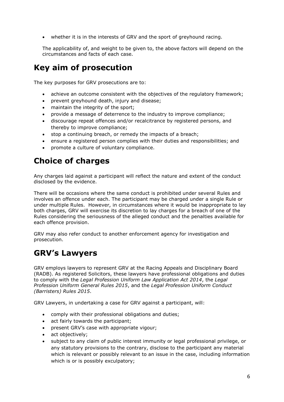• whether it is in the interests of GRV and the sport of greyhound racing.

The applicability of, and weight to be given to, the above factors will depend on the circumstances and facts of each case.

# <span id="page-5-0"></span>**Key aim of prosecution**

The key purposes for GRV prosecutions are to:

- achieve an outcome consistent with the objectives of the regulatory framework;
- prevent greyhound death, injury and disease;
- maintain the integrity of the sport;
- provide a message of deterrence to the industry to improve compliance;
- discourage repeat offences and/or recalcitrance by registered persons, and thereby to improve compliance;
- stop a continuing breach, or remedy the impacts of a breach;
- ensure a registered person complies with their duties and responsibilities; and
- promote a culture of voluntary compliance.

# <span id="page-5-1"></span>**Choice of charges**

Any charges laid against a participant will reflect the nature and extent of the conduct disclosed by the evidence.

There will be occasions where the same conduct is prohibited under several Rules and involves an offence under each. The participant may be charged under a single Rule or under multiple Rules. However, in circumstances where it would be inappropriate to lay both charges, GRV will exercise its discretion to lay charges for a breach of one of the Rules considering the seriousness of the alleged conduct and the penalties available for each offence provision.

GRV may also refer conduct to another enforcement agency for investigation and prosecution.

# <span id="page-5-2"></span>**GRV's Lawyers**

GRV employs lawyers to represent GRV at the Racing Appeals and Disciplinary Board (RADB). As registered Solicitors, these lawyers have professional obligations and duties to comply with the *Legal Profession Uniform Law Application Act 2014*, the *Legal Profession Uniform General Rules 2015*, and the *Legal Profession Uniform Conduct (Barristers) Rules 2015*.

GRV Lawyers, in undertaking a case for GRV against a participant, will:

- comply with their professional obligations and duties;
- act fairly towards the participant;
- present GRV's case with appropriate vigour;
- act objectively;
- subject to any claim of public interest immunity or legal professional privilege, or any statutory provisions to the contrary, disclose to the participant any material which is relevant or possibly relevant to an issue in the case, including information which is or is possibly exculpatory;